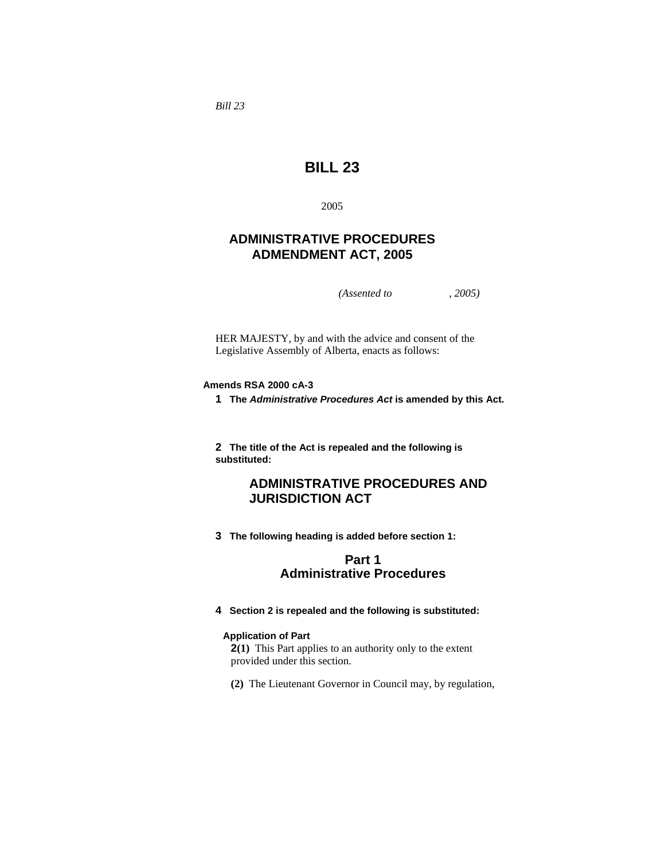*Bill 23* 

# **BILL 23**

2005

## **ADMINISTRATIVE PROCEDURES ADMENDMENT ACT, 2005**

*(Assented to , 2005)* 

HER MAJESTY, by and with the advice and consent of the Legislative Assembly of Alberta, enacts as follows:

### **Amends RSA 2000 cA-3**

**1 The** *Administrative Procedures Act* **is amended by this Act.**

**2 The title of the Act is repealed and the following is substituted:**

## **ADMINISTRATIVE PROCEDURES AND JURISDICTION ACT**

**3 The following heading is added before section 1:**

## **Part 1 Administrative Procedures**

**4 Section 2 is repealed and the following is substituted:** 

#### **Application of Part**

**2(1)** This Part applies to an authority only to the extent provided under this section.

**(2)** The Lieutenant Governor in Council may, by regulation,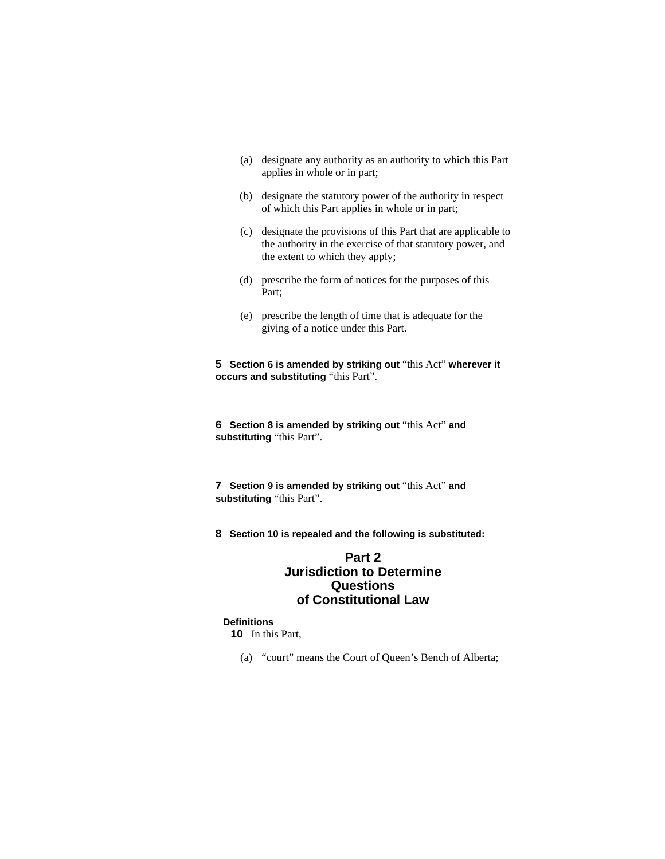- (a) designate any authority as an authority to which this Part applies in whole or in part;
- (b) designate the statutory power of the authority in respect of which this Part applies in whole or in part;
- (c) designate the provisions of this Part that are applicable to the authority in the exercise of that statutory power, and the extent to which they apply;
- (d) prescribe the form of notices for the purposes of this Part;
- (e) prescribe the length of time that is adequate for the giving of a notice under this Part.

**5 Section 6 is amended by striking out** "this Act" **wherever it occurs and substituting** "this Part".

**6 Section 8 is amended by striking out** "this Act" **and substituting** "this Part".

**7 Section 9 is amended by striking out** "this Act" **and substituting** "this Part".

**8 Section 10 is repealed and the following is substituted:**

## **Part 2 Jurisdiction to Determine Questions of Constitutional Law**

### **Definitions**

**10** In this Part,

(a) "court" means the Court of Queen's Bench of Alberta;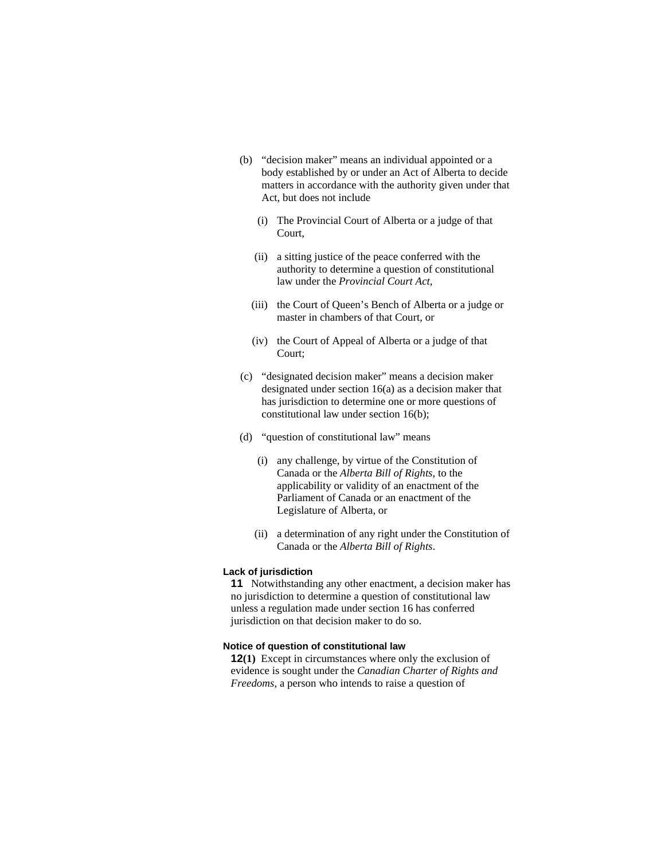- (b) "decision maker" means an individual appointed or a body established by or under an Act of Alberta to decide matters in accordance with the authority given under that Act, but does not include
	- (i) The Provincial Court of Alberta or a judge of that Court,
	- (ii) a sitting justice of the peace conferred with the authority to determine a question of constitutional law under the *Provincial Court Act*,
	- (iii) the Court of Queen's Bench of Alberta or a judge or master in chambers of that Court, or
	- (iv) the Court of Appeal of Alberta or a judge of that Court;
- (c) "designated decision maker" means a decision maker designated under section 16(a) as a decision maker that has jurisdiction to determine one or more questions of constitutional law under section 16(b);
- (d) "question of constitutional law" means
	- (i) any challenge, by virtue of the Constitution of Canada or the *Alberta Bill of Rights*, to the applicability or validity of an enactment of the Parliament of Canada or an enactment of the Legislature of Alberta, or
	- (ii) a determination of any right under the Constitution of Canada or the *Alberta Bill of Rights*.

#### **Lack of jurisdiction**

**11** Notwithstanding any other enactment, a decision maker has no jurisdiction to determine a question of constitutional law unless a regulation made under section 16 has conferred jurisdiction on that decision maker to do so.

#### **Notice of question of constitutional law**

**12(1)** Except in circumstances where only the exclusion of evidence is sought under the *Canadian Charter of Rights and Freedoms*, a person who intends to raise a question of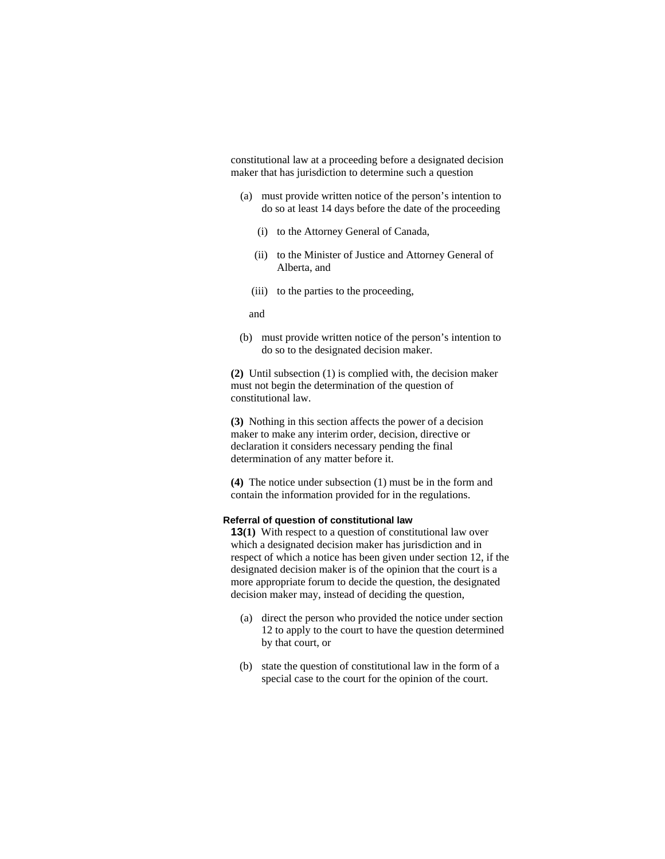constitutional law at a proceeding before a designated decision maker that has jurisdiction to determine such a question

- (a) must provide written notice of the person's intention to do so at least 14 days before the date of the proceeding
	- (i) to the Attorney General of Canada,
	- (ii) to the Minister of Justice and Attorney General of Alberta, and
	- (iii) to the parties to the proceeding,

and

 (b) must provide written notice of the person's intention to do so to the designated decision maker.

**(2)** Until subsection (1) is complied with, the decision maker must not begin the determination of the question of constitutional law.

**(3)** Nothing in this section affects the power of a decision maker to make any interim order, decision, directive or declaration it considers necessary pending the final determination of any matter before it.

**(4)** The notice under subsection (1) must be in the form and contain the information provided for in the regulations.

#### **Referral of question of constitutional law**

**13(1)** With respect to a question of constitutional law over which a designated decision maker has jurisdiction and in respect of which a notice has been given under section 12, if the designated decision maker is of the opinion that the court is a more appropriate forum to decide the question, the designated decision maker may, instead of deciding the question,

- (a) direct the person who provided the notice under section 12 to apply to the court to have the question determined by that court, or
- (b) state the question of constitutional law in the form of a special case to the court for the opinion of the court.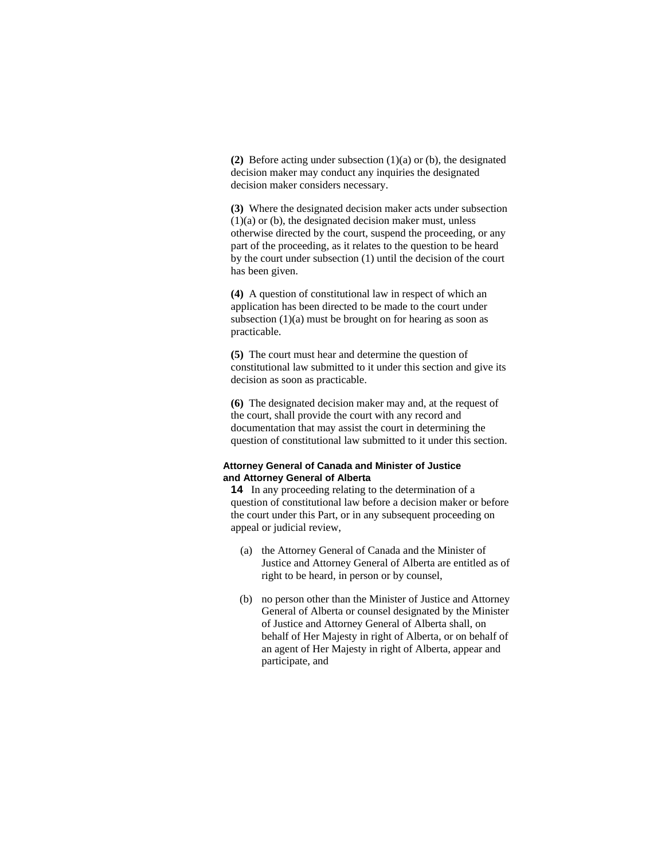**(2)** Before acting under subsection (1)(a) or (b), the designated decision maker may conduct any inquiries the designated decision maker considers necessary.

**(3)** Where the designated decision maker acts under subsection  $(1)(a)$  or  $(b)$ , the designated decision maker must, unless otherwise directed by the court, suspend the proceeding, or any part of the proceeding, as it relates to the question to be heard by the court under subsection (1) until the decision of the court has been given.

**(4)** A question of constitutional law in respect of which an application has been directed to be made to the court under subsection  $(1)(a)$  must be brought on for hearing as soon as practicable.

**(5)** The court must hear and determine the question of constitutional law submitted to it under this section and give its decision as soon as practicable.

**(6)** The designated decision maker may and, at the request of the court, shall provide the court with any record and documentation that may assist the court in determining the question of constitutional law submitted to it under this section.

#### **Attorney General of Canada and Minister of Justice and Attorney General of Alberta**

**14** In any proceeding relating to the determination of a question of constitutional law before a decision maker or before the court under this Part, or in any subsequent proceeding on appeal or judicial review,

- (a) the Attorney General of Canada and the Minister of Justice and Attorney General of Alberta are entitled as of right to be heard, in person or by counsel,
- (b) no person other than the Minister of Justice and Attorney General of Alberta or counsel designated by the Minister of Justice and Attorney General of Alberta shall, on behalf of Her Majesty in right of Alberta, or on behalf of an agent of Her Majesty in right of Alberta, appear and participate, and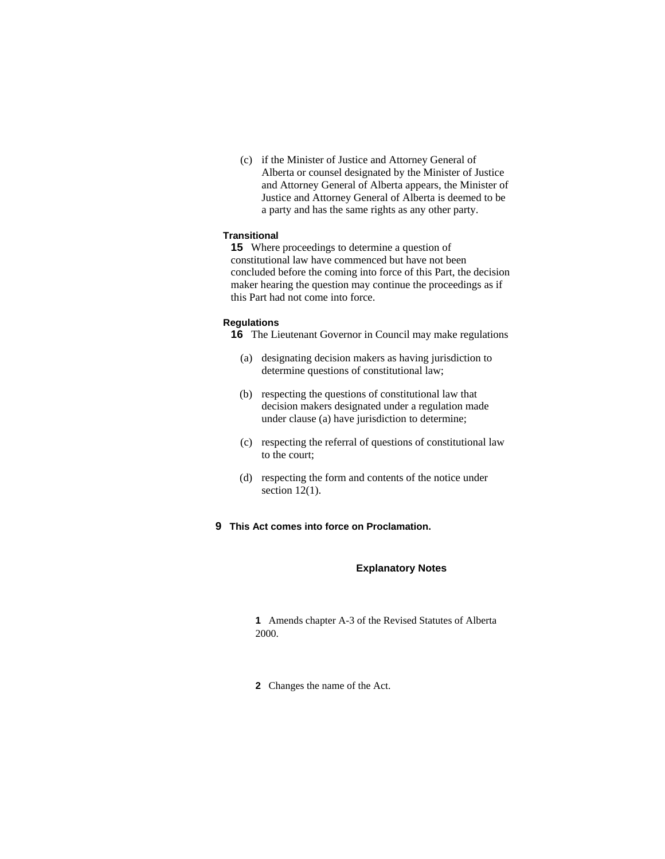(c) if the Minister of Justice and Attorney General of Alberta or counsel designated by the Minister of Justice and Attorney General of Alberta appears, the Minister of Justice and Attorney General of Alberta is deemed to be a party and has the same rights as any other party.

### **Transitional**

**15** Where proceedings to determine a question of constitutional law have commenced but have not been concluded before the coming into force of this Part, the decision maker hearing the question may continue the proceedings as if this Part had not come into force.

#### **Regulations**

**16** The Lieutenant Governor in Council may make regulations

- (a) designating decision makers as having jurisdiction to determine questions of constitutional law;
- (b) respecting the questions of constitutional law that decision makers designated under a regulation made under clause (a) have jurisdiction to determine;
- (c) respecting the referral of questions of constitutional law to the court;
- (d) respecting the form and contents of the notice under section  $12(1)$ .
- **9 This Act comes into force on Proclamation.**

#### **Explanatory Notes**

**1** Amends chapter A-3 of the Revised Statutes of Alberta 2000.

**2** Changes the name of the Act.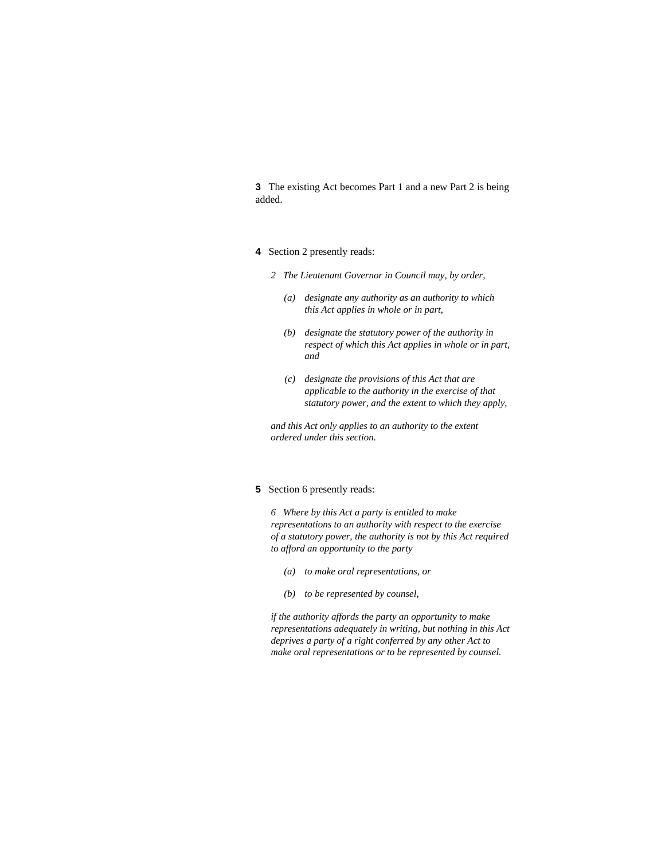**3** The existing Act becomes Part 1 and a new Part 2 is being added.

- **4** Section 2 presently reads:
	- *2 The Lieutenant Governor in Council may, by order,* 
		- *(a) designate any authority as an authority to which this Act applies in whole or in part,*
		- *(b) designate the statutory power of the authority in respect of which this Act applies in whole or in part, and*
		- *(c) designate the provisions of this Act that are applicable to the authority in the exercise of that statutory power, and the extent to which they apply,*

*and this Act only applies to an authority to the extent ordered under this section.* 

## **5** Section 6 presently reads:

*6 Where by this Act a party is entitled to make representations to an authority with respect to the exercise of a statutory power, the authority is not by this Act required to afford an opportunity to the party* 

- *(a) to make oral representations, or*
- *(b) to be represented by counsel,*

*if the authority affords the party an opportunity to make representations adequately in writing, but nothing in this Act deprives a party of a right conferred by any other Act to make oral representations or to be represented by counsel.*